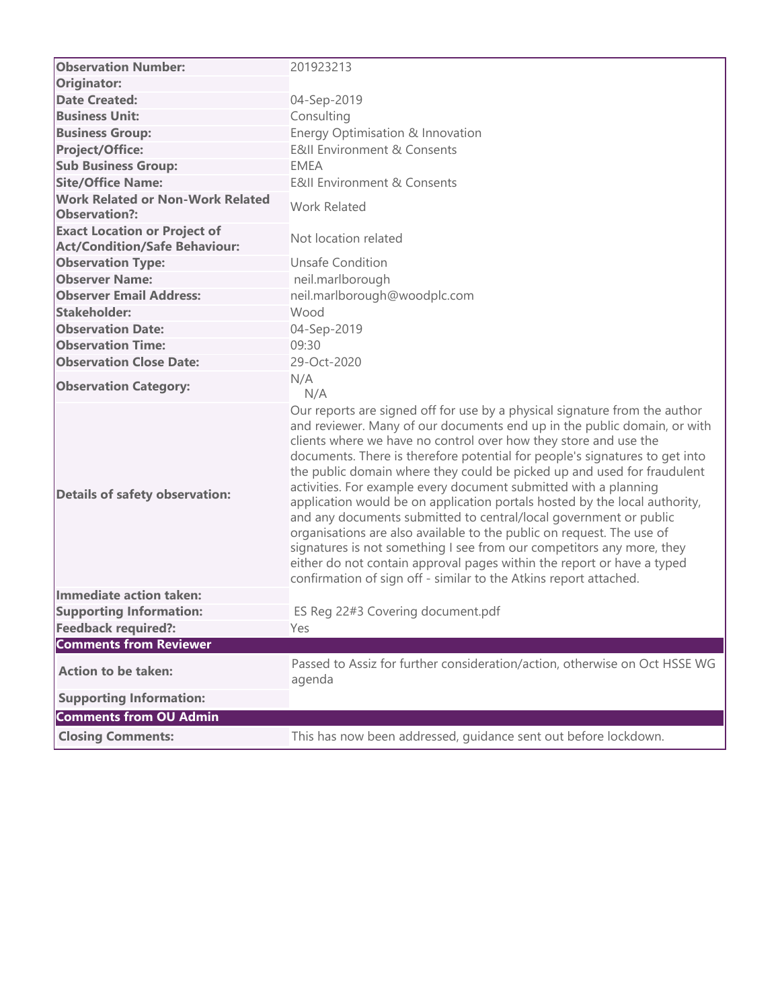| <b>Observation Number:</b>                                                  | 201923213                                                                                                                                                                                                                                                                                                                                                                                                                                                                                                                                                                                                                                                                                                                                                                                                                                                                                                    |
|-----------------------------------------------------------------------------|--------------------------------------------------------------------------------------------------------------------------------------------------------------------------------------------------------------------------------------------------------------------------------------------------------------------------------------------------------------------------------------------------------------------------------------------------------------------------------------------------------------------------------------------------------------------------------------------------------------------------------------------------------------------------------------------------------------------------------------------------------------------------------------------------------------------------------------------------------------------------------------------------------------|
| Originator:                                                                 |                                                                                                                                                                                                                                                                                                                                                                                                                                                                                                                                                                                                                                                                                                                                                                                                                                                                                                              |
| <b>Date Created:</b>                                                        | 04-Sep-2019                                                                                                                                                                                                                                                                                                                                                                                                                                                                                                                                                                                                                                                                                                                                                                                                                                                                                                  |
| <b>Business Unit:</b>                                                       | Consulting                                                                                                                                                                                                                                                                                                                                                                                                                                                                                                                                                                                                                                                                                                                                                                                                                                                                                                   |
| <b>Business Group:</b>                                                      | Energy Optimisation & Innovation                                                                                                                                                                                                                                                                                                                                                                                                                                                                                                                                                                                                                                                                                                                                                                                                                                                                             |
| <b>Project/Office:</b>                                                      | <b>E&amp;II Environment &amp; Consents</b>                                                                                                                                                                                                                                                                                                                                                                                                                                                                                                                                                                                                                                                                                                                                                                                                                                                                   |
| <b>Sub Business Group:</b>                                                  | <b>EMEA</b>                                                                                                                                                                                                                                                                                                                                                                                                                                                                                                                                                                                                                                                                                                                                                                                                                                                                                                  |
| <b>Site/Office Name:</b>                                                    | <b>E&amp;II Environment &amp; Consents</b>                                                                                                                                                                                                                                                                                                                                                                                                                                                                                                                                                                                                                                                                                                                                                                                                                                                                   |
| <b>Work Related or Non-Work Related</b><br>Observation?:                    | <b>Work Related</b>                                                                                                                                                                                                                                                                                                                                                                                                                                                                                                                                                                                                                                                                                                                                                                                                                                                                                          |
| <b>Exact Location or Project of</b><br><b>Act/Condition/Safe Behaviour:</b> | Not location related                                                                                                                                                                                                                                                                                                                                                                                                                                                                                                                                                                                                                                                                                                                                                                                                                                                                                         |
| <b>Observation Type:</b>                                                    | <b>Unsafe Condition</b>                                                                                                                                                                                                                                                                                                                                                                                                                                                                                                                                                                                                                                                                                                                                                                                                                                                                                      |
| <b>Observer Name:</b>                                                       | neil.marlborough                                                                                                                                                                                                                                                                                                                                                                                                                                                                                                                                                                                                                                                                                                                                                                                                                                                                                             |
| <b>Observer Email Address:</b>                                              | neil.marlborough@woodplc.com                                                                                                                                                                                                                                                                                                                                                                                                                                                                                                                                                                                                                                                                                                                                                                                                                                                                                 |
| <b>Stakeholder:</b>                                                         | Wood                                                                                                                                                                                                                                                                                                                                                                                                                                                                                                                                                                                                                                                                                                                                                                                                                                                                                                         |
| <b>Observation Date:</b>                                                    | 04-Sep-2019                                                                                                                                                                                                                                                                                                                                                                                                                                                                                                                                                                                                                                                                                                                                                                                                                                                                                                  |
| <b>Observation Time:</b>                                                    | 09:30                                                                                                                                                                                                                                                                                                                                                                                                                                                                                                                                                                                                                                                                                                                                                                                                                                                                                                        |
| <b>Observation Close Date:</b>                                              | 29-Oct-2020                                                                                                                                                                                                                                                                                                                                                                                                                                                                                                                                                                                                                                                                                                                                                                                                                                                                                                  |
| <b>Observation Category:</b>                                                | N/A<br>N/A                                                                                                                                                                                                                                                                                                                                                                                                                                                                                                                                                                                                                                                                                                                                                                                                                                                                                                   |
| <b>Details of safety observation:</b>                                       | Our reports are signed off for use by a physical signature from the author<br>and reviewer. Many of our documents end up in the public domain, or with<br>clients where we have no control over how they store and use the<br>documents. There is therefore potential for people's signatures to get into<br>the public domain where they could be picked up and used for fraudulent<br>activities. For example every document submitted with a planning<br>application would be on application portals hosted by the local authority,<br>and any documents submitted to central/local government or public<br>organisations are also available to the public on request. The use of<br>signatures is not something I see from our competitors any more, they<br>either do not contain approval pages within the report or have a typed<br>confirmation of sign off - similar to the Atkins report attached. |
| Immediate action taken:                                                     |                                                                                                                                                                                                                                                                                                                                                                                                                                                                                                                                                                                                                                                                                                                                                                                                                                                                                                              |
| <b>Supporting Information:</b>                                              | ES Reg 22#3 Covering document.pdf                                                                                                                                                                                                                                                                                                                                                                                                                                                                                                                                                                                                                                                                                                                                                                                                                                                                            |
| <b>Feedback required?:</b>                                                  | Yes                                                                                                                                                                                                                                                                                                                                                                                                                                                                                                                                                                                                                                                                                                                                                                                                                                                                                                          |
| <b>Comments from Reviewer</b>                                               |                                                                                                                                                                                                                                                                                                                                                                                                                                                                                                                                                                                                                                                                                                                                                                                                                                                                                                              |
| <b>Action to be taken:</b>                                                  | Passed to Assiz for further consideration/action, otherwise on Oct HSSE WG<br>agenda                                                                                                                                                                                                                                                                                                                                                                                                                                                                                                                                                                                                                                                                                                                                                                                                                         |
| <b>Supporting Information:</b>                                              |                                                                                                                                                                                                                                                                                                                                                                                                                                                                                                                                                                                                                                                                                                                                                                                                                                                                                                              |
| <b>Comments from OU Admin</b>                                               |                                                                                                                                                                                                                                                                                                                                                                                                                                                                                                                                                                                                                                                                                                                                                                                                                                                                                                              |
| <b>Closing Comments:</b>                                                    | This has now been addressed, guidance sent out before lockdown.                                                                                                                                                                                                                                                                                                                                                                                                                                                                                                                                                                                                                                                                                                                                                                                                                                              |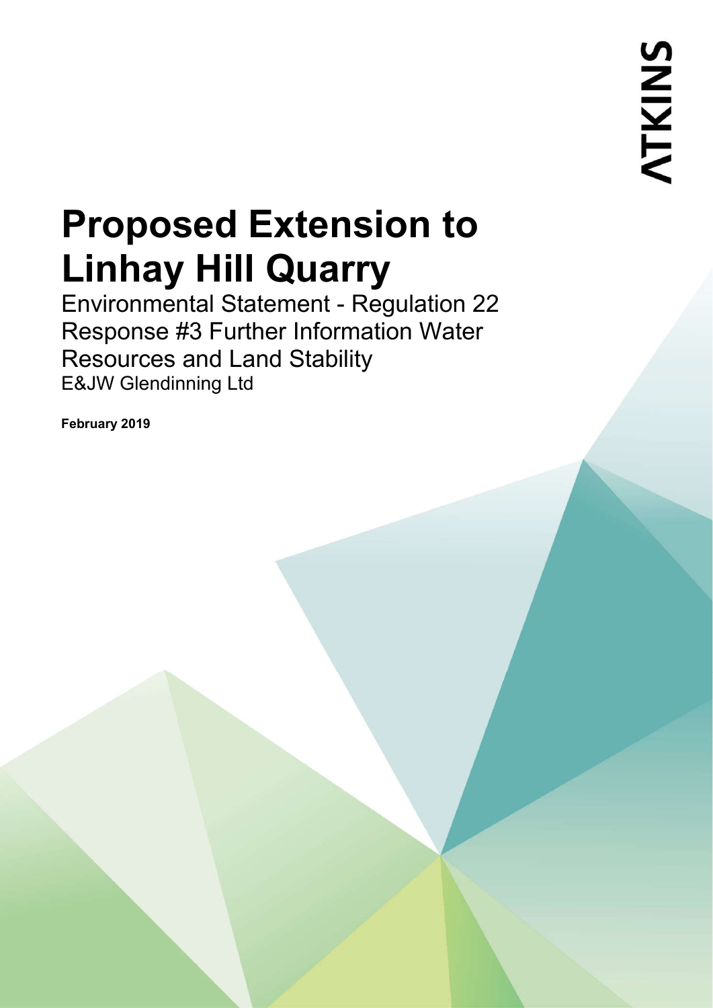Environmental Statement - Regulation 22 Response #3 Further Information Water Resources and Land Stability E&JW Glendinning Ltd

**February 2019**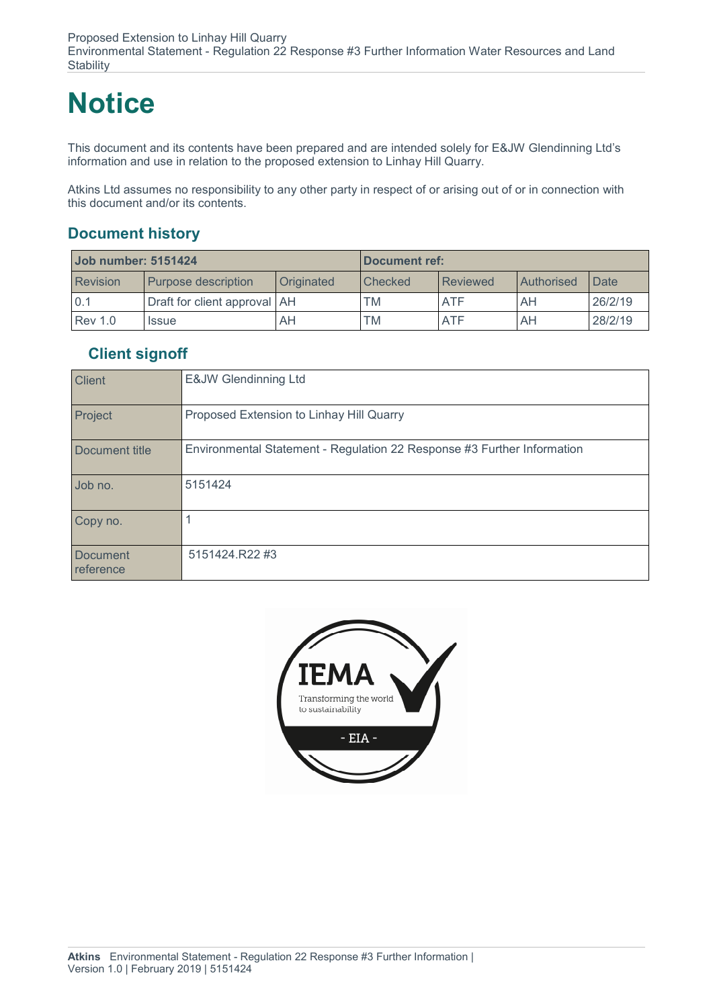## **Notice**

This document and its contents have been prepared and are intended solely for E&JW Glendinning Ltd's information and use in relation to the proposed extension to Linhay Hill Quarry.

Atkins Ltd assumes no responsibility to any other party in respect of or arising out of or in connection with this document and/or its contents.

#### **Document history**

| <b>Job number: 5151424</b> |                              | Document ref: |         |            |            |         |
|----------------------------|------------------------------|---------------|---------|------------|------------|---------|
| <b>Revision</b>            | Purpose description          | Originated    | Checked | Reviewed   | Authorised | Date    |
| 0.1                        | Draft for client approval AH |               | TM      | <b>ATF</b> | AH         | 26/2/19 |
| <b>Rev 1.0</b>             | <b>Issue</b>                 | AΗ            | TM      | <b>ATF</b> | AH         | 28/2/19 |

#### **Client signoff**

| <b>Client</b>                | E&JW Glendinning Ltd                                                    |
|------------------------------|-------------------------------------------------------------------------|
| Project                      | Proposed Extension to Linhay Hill Quarry                                |
| Document title               | Environmental Statement - Regulation 22 Response #3 Further Information |
| Job no.                      | 5151424                                                                 |
| Copy no.                     |                                                                         |
| <b>Document</b><br>reference | 5151424.R22#3                                                           |

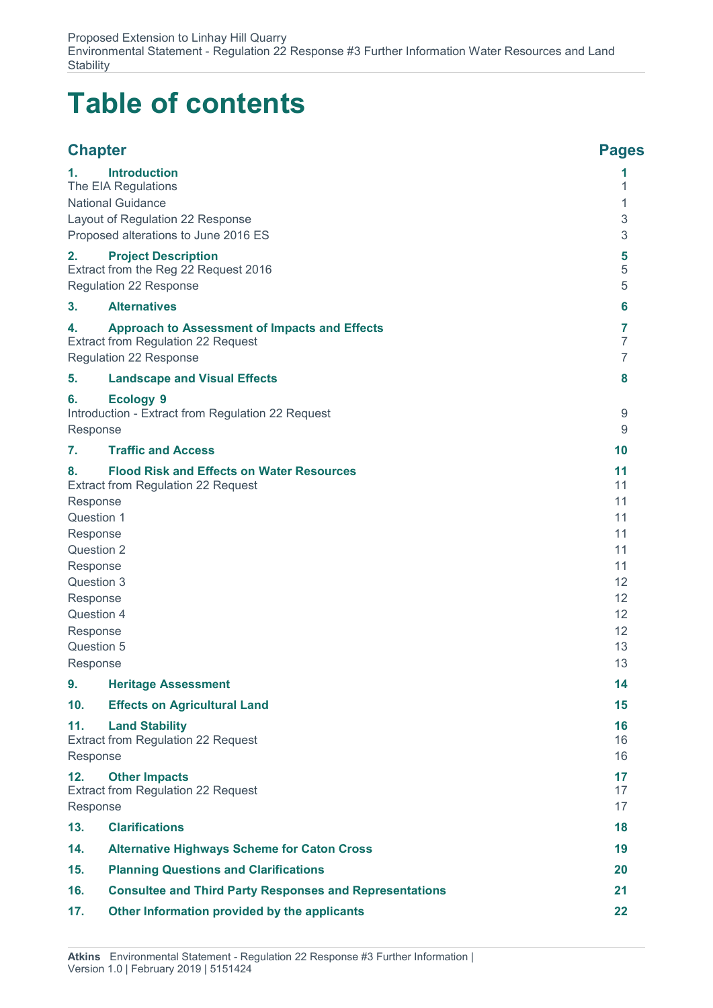## **Table of contents**

| <b>Chapter</b>                   |                                                                | <b>Pages</b>   |
|----------------------------------|----------------------------------------------------------------|----------------|
| 1.                               | <b>Introduction</b>                                            | 1              |
| The EIA Regulations              | 1                                                              |                |
| <b>National Guidance</b>         |                                                                | 1              |
| Layout of Regulation 22 Response |                                                                | 3              |
|                                  | Proposed alterations to June 2016 ES                           | 3              |
| 2.                               | <b>Project Description</b>                                     | 5              |
|                                  | Extract from the Reg 22 Request 2016                           | 5              |
|                                  | <b>Regulation 22 Response</b>                                  | 5              |
| 3.                               | <b>Alternatives</b>                                            | 6              |
| 4.                               | <b>Approach to Assessment of Impacts and Effects</b>           | 7              |
|                                  | Extract from Regulation 22 Request                             | 7              |
|                                  | <b>Regulation 22 Response</b>                                  | $\overline{7}$ |
| 5.                               | <b>Landscape and Visual Effects</b>                            | 8              |
| 6.                               | <b>Ecology 9</b>                                               |                |
|                                  | Introduction - Extract from Regulation 22 Request              | 9              |
| Response                         |                                                                | 9              |
| 7.                               | <b>Traffic and Access</b>                                      | 10             |
| 8.                               | <b>Flood Risk and Effects on Water Resources</b>               | 11             |
|                                  | <b>Extract from Regulation 22 Request</b>                      | 11             |
| Response<br>Question 1           |                                                                | 11<br>11       |
|                                  |                                                                | 11             |
| Response<br>Question 2           |                                                                | 11             |
| Response                         |                                                                | 11             |
| Question 3                       |                                                                | 12             |
| Response                         |                                                                | 12             |
| Question 4                       |                                                                | 12             |
| Response                         |                                                                | 12             |
| Question 5                       |                                                                | 13             |
| Response                         |                                                                | 13             |
| 9.                               | <b>Heritage Assessment</b>                                     | 14             |
| 10.                              | <b>Effects on Agricultural Land</b>                            | 15             |
| 11.                              | <b>Land Stability</b>                                          | 16             |
|                                  | <b>Extract from Regulation 22 Request</b>                      | 16             |
| Response                         |                                                                | 16             |
| 12.                              | <b>Other Impacts</b>                                           | 17             |
|                                  | <b>Extract from Regulation 22 Request</b>                      | 17             |
| Response                         |                                                                | 17             |
| 13.                              | <b>Clarifications</b>                                          | 18             |
| 14.                              | <b>Alternative Highways Scheme for Caton Cross</b>             | 19             |
| 15.                              | <b>Planning Questions and Clarifications</b>                   | 20             |
| 16.                              | <b>Consultee and Third Party Responses and Representations</b> | 21             |
| 17.                              | Other Information provided by the applicants                   | 22             |
|                                  |                                                                |                |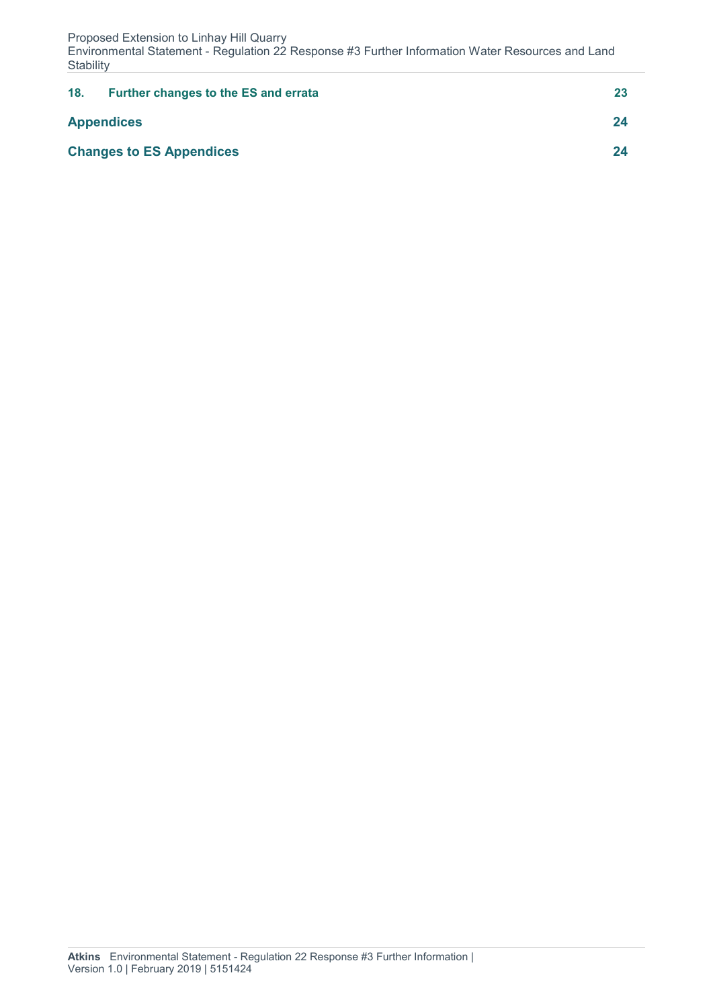Environmental Statement - Regulation 22 Response #3 Further Information Water Resources and Land **Stability** 

| 18.               | <b>Further changes to the ES and errata</b> | 23 |
|-------------------|---------------------------------------------|----|
| <b>Appendices</b> |                                             | 24 |
|                   | <b>Changes to ES Appendices</b>             | 24 |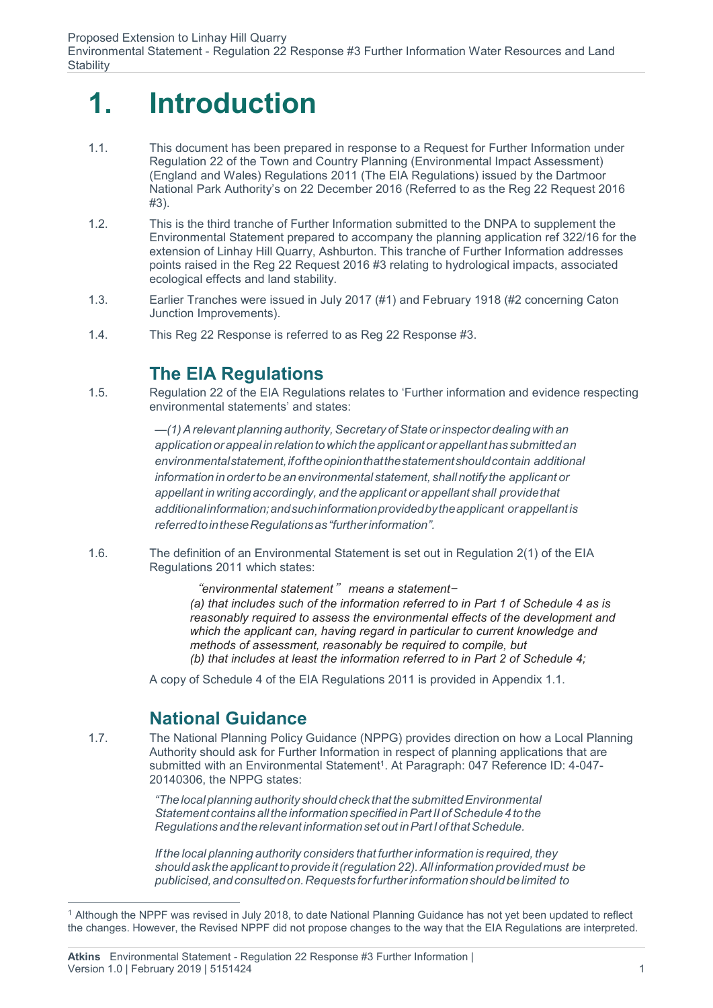## **1. Introduction**

- 1.1. This document has been prepared in response to a Request for Further Information under Regulation 22 of the Town and Country Planning (Environmental Impact Assessment) (England and Wales) Regulations 2011 (The EIA Regulations) issued by the Dartmoor National Park Authority's on 22 December 2016 (Referred to as the Reg 22 Request 2016 #3).
- 1.2. This is the third tranche of Further Information submitted to the DNPA to supplement the Environmental Statement prepared to accompany the planning application ref 322/16 for the extension of Linhay Hill Quarry, Ashburton. This tranche of Further Information addresses points raised in the Reg 22 Request 2016 #3 relating to hydrological impacts, associated ecological effects and land stability.
- 1.3. Earlier Tranches were issued in July 2017 (#1) and February 1918 (#2 concerning Caton Junction Improvements).
- 1.4. This Reg 22 Response is referred to as Reg 22 Response #3.

### **The EIA Regulations**

1.5. Regulation 22 of the EIA Regulations relates to 'Further information and evidence respecting environmental statements' and states:

> $-$ (1) A relevant planning authority, Secretary of State or inspector dealing with an *application orappeal inrelationtowhichtheapplicantor appellanthassubmittedan environmentalstatement,ifoftheopinionthatthestatementshouldcontain additional information in orderto be an environmental statement, shall notify the applicant or appellant in writing accordingly, and the applicant or appellant shall providethat additionalinformation;andsuchinformationprovidedbytheapplicant orappellantis referredtointheseRegulationsas"furtherinformation".*

1.6. The definition of an Environmental Statement is set out in Regulation 2(1) of the EIA Regulations 2011 which states:

> "*environmental statement*" *means a statement*— *(a) that includes such of the information referred to in Part 1 of Schedule 4 as is reasonably required to assess the environmental effects of the development and which the applicant can, having regard in particular to current knowledge and methods of assessment, reasonably be required to compile, but (b) that includes at least the information referred to in Part 2 of Schedule 4;*

A copy of Schedule 4 of the EIA Regulations 2011 is provided in Appendix 1.1.

#### **National Guidance**

1.7. The National Planning Policy Guidance (NPPG) provides direction on how a Local Planning Authority should ask for Further Information in respect of planning applications that are submitted with an Environmental Statement<sup>1</sup>. At Paragraph: 047 Reference ID: 4-047-20140306, the NPPG states:

> *"Thelocal planning authority should check thatthesubmittedEnvironmental Statement contains allthe informationspecified inPartII ofSchedule4tothe Regulationsandtherelevantinformationsetout inPartIofthatSchedule.*

*If the local planning authority considers that furtherinformation is required, they shouldask theapplicanttoprovideit(regulation22).All information providedmust be publicised,andconsultedon.Requests forfurtherinformationshouldbelimited to*

 <sup>1</sup> Although the NPPF was revised in July 2018, to date National Planning Guidance has not yet been updated to reflect the changes. However, the Revised NPPF did not propose changes to the way that the EIA Regulations are interpreted.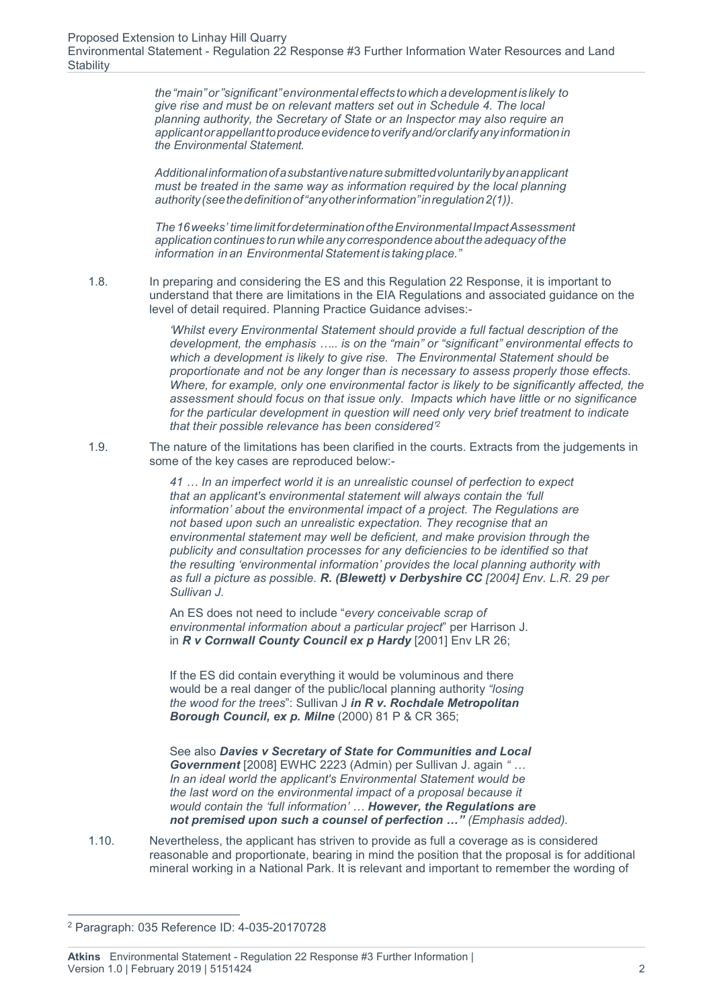*the"main"or"significant"environmentaleffects towhich adevelopmentislikely to give rise and must be on relevant matters set out in Schedule 4. The local planning authority, the Secretary of State or an Inspector may also require an applicantorappellanttoproduceevidencetoverifyand/orclarifyanyinformationin the Environmental Statement.*

*Additionalinformationofasubstantivenaturesubmittedvoluntarilybyanapplicant must be treated in the same way as information required by the local planning authority(seethedefinitionof"anyotherinformation"inregulation2(1)).*

*The16weeks' timelimitfordeterminationoftheEnvironmentalImpactAssessment application continues to run whileany correspondenceabouttheadequacy of the information in an EnvironmentalStatement is taking place."*

1.8. In preparing and considering the ES and this Regulation 22 Response, it is important to understand that there are limitations in the EIA Regulations and associated guidance on the level of detail required. Planning Practice Guidance advises:-

> *'Whilst every Environmental Statement should provide a full factual description of the development, the emphasis ….. is on the "main" or "significant" environmental effects to which a development is likely to give rise. The Environmental Statement should be proportionate and not be any longer than is necessary to assess properly those effects. Where, for example, only one environmental factor is likely to be significantly affected, the assessment should focus on that issue only. Impacts which have little or no significance for the particular development in question will need only very brief treatment to indicate that their possible relevance has been considered'2*

1.9. The nature of the limitations has been clarified in the courts. Extracts from the judgements in some of the key cases are reproduced below:-

> *41 … In an imperfect world it is an unrealistic counsel of perfection to expect that an applicant's environmental statement will always contain the 'full information' about the environmental impact of a project. The Regulations are not based upon such an unrealistic expectation. They recognise that an environmental statement may well be deficient, and make provision through the publicity and consultation processes for any deficiencies to be identified so that the resulting 'environmental information' provides the local planning authority with as full a picture as possible. R. (Blewett) v Derbyshire CC [2004] Env. L.R. 29 per Sullivan J.*

An ES does not need to include "*every conceivable scrap of environmental information about a particular project*" per Harrison J. in *R v Cornwall County Council ex p Hardy* [2001] Env LR 26;

If the ES did contain everything it would be voluminous and there would be a real danger of the public/local planning authority *"losing the wood for the trees*": Sullivan J *in R v. Rochdale Metropolitan Borough Council, ex p. Milne* (2000) 81 P & CR 365;

See also *Davies v Secretary of State for Communities and Local Government* [2008] EWHC 2223 (Admin) per Sullivan J. again *" … In an ideal world the applicant's Environmental Statement would be the last word on the environmental impact of a proposal because it would contain the 'full information' … However, the Regulations are not premised upon such a counsel of perfection …" (Emphasis added).*

1.10. Nevertheless, the applicant has striven to provide as full a coverage as is considered reasonable and proportionate, bearing in mind the position that the proposal is for additional mineral working in a National Park. It is relevant and important to remember the wording of

 <sup>2</sup> Paragraph: 035 Reference ID: 4-035-20170728

**Atkins** Environmental Statement - Regulation 22 Response #3 Further Information | Version 1.0 | February 2019 | 5151424  $\overline{a}$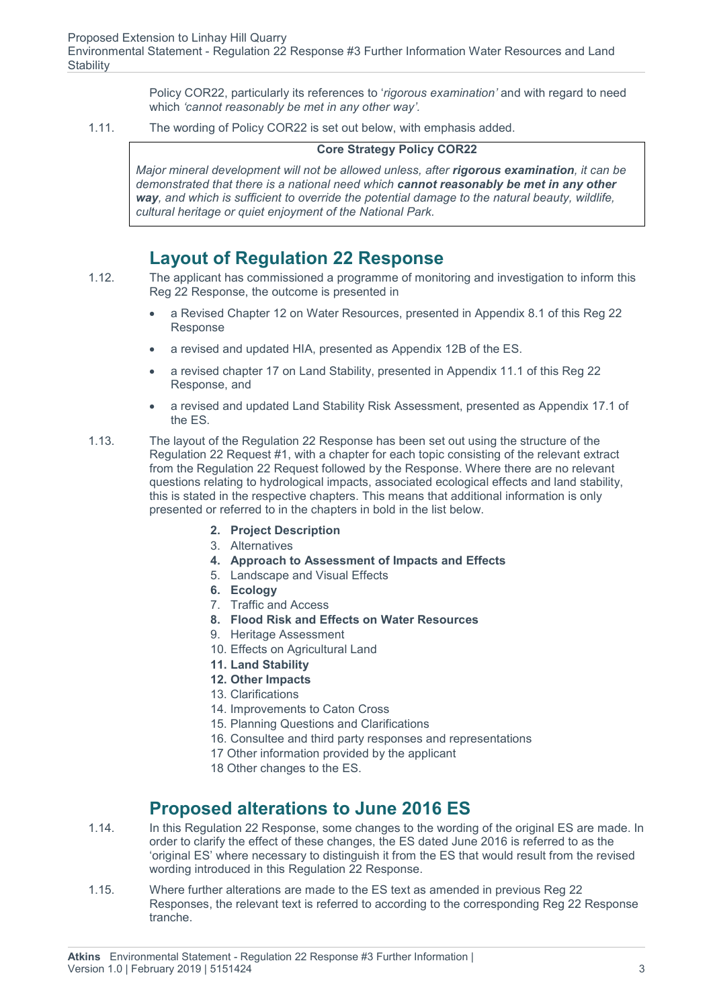Policy COR22, particularly its references to '*rigorous examination'* and with regard to need which *'cannot reasonably be met in any other way'.*

1.11. The wording of Policy COR22 is set out below, with emphasis added.

#### **Core Strategy Policy COR22**

*Major mineral development will not be allowed unless, after rigorous examination, it can be demonstrated that there is a national need which cannot reasonably be met in any other way, and which is sufficient to override the potential damage to the natural beauty, wildlife, cultural heritage or quiet enjoyment of the National Park.*

#### **Layout of Regulation 22 Response**

- 1.12. The applicant has commissioned a programme of monitoring and investigation to inform this Reg 22 Response, the outcome is presented in
	- a Revised Chapter 12 on Water Resources, presented in Appendix 8.1 of this Reg 22 Response
	- a revised and updated HIA, presented as Appendix 12B of the ES.
	- a revised chapter 17 on Land Stability, presented in Appendix 11.1 of this Reg 22 Response, and
	- a revised and updated Land Stability Risk Assessment, presented as Appendix 17.1 of the ES.
- 1.13. The layout of the Regulation 22 Response has been set out using the structure of the Regulation 22 Request #1, with a chapter for each topic consisting of the relevant extract from the Regulation 22 Request followed by the Response. Where there are no relevant questions relating to hydrological impacts, associated ecological effects and land stability, this is stated in the respective chapters. This means that additional information is only presented or referred to in the chapters in bold in the list below.
	- **2. Project Description**
	- 3. Alternatives
	- **4. Approach to Assessment of Impacts and Effects**
	- 5. Landscape and Visual Effects
	- **6. Ecology**
	- 7. Traffic and Access
	- **8. Flood Risk and Effects on Water Resources**
	- 9. Heritage Assessment
	- 10. Effects on Agricultural Land
	- **11. Land Stability**
	- **12. Other Impacts**
	- 13. Clarifications
	- 14. Improvements to Caton Cross
	- 15. Planning Questions and Clarifications
	- 16. Consultee and third party responses and representations
	- 17 Other information provided by the applicant
	- 18 Other changes to the ES.

#### **Proposed alterations to June 2016 ES**

- 1.14. In this Regulation 22 Response, some changes to the wording of the original ES are made. In order to clarify the effect of these changes, the ES dated June 2016 is referred to as the 'original ES' where necessary to distinguish it from the ES that would result from the revised wording introduced in this Regulation 22 Response.
- 1.15. Where further alterations are made to the ES text as amended in previous Reg 22 Responses, the relevant text is referred to according to the corresponding Reg 22 Response tranche.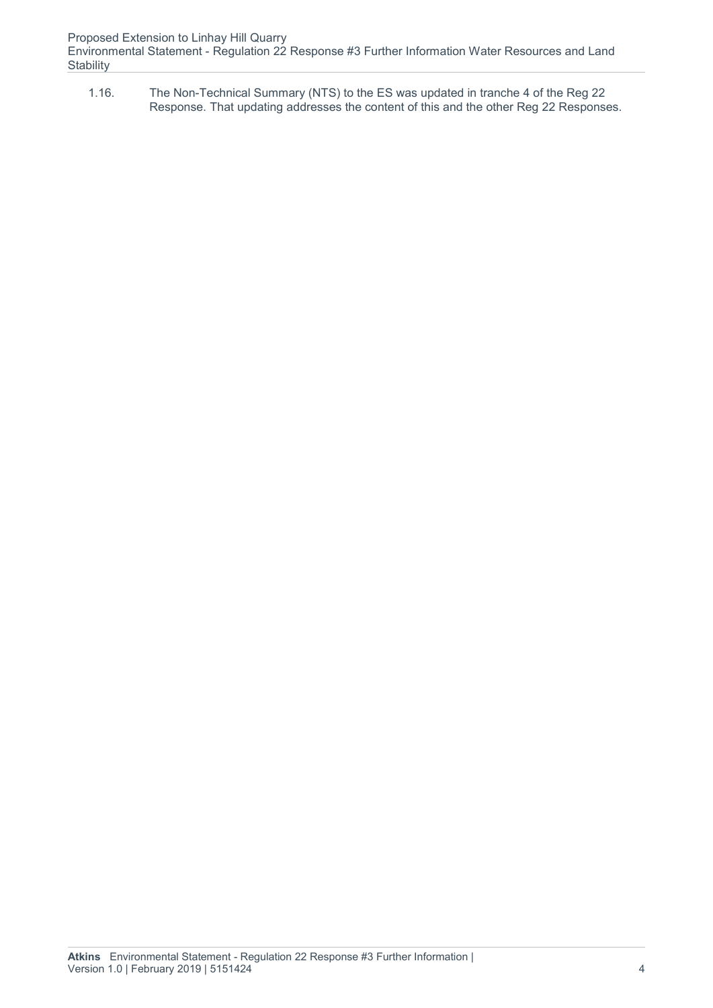Environmental Statement - Regulation 22 Response #3 Further Information Water Resources and Land **Stability** 

1.16. The Non-Technical Summary (NTS) to the ES was updated in tranche 4 of the Reg 22 Response. That updating addresses the content of this and the other Reg 22 Responses.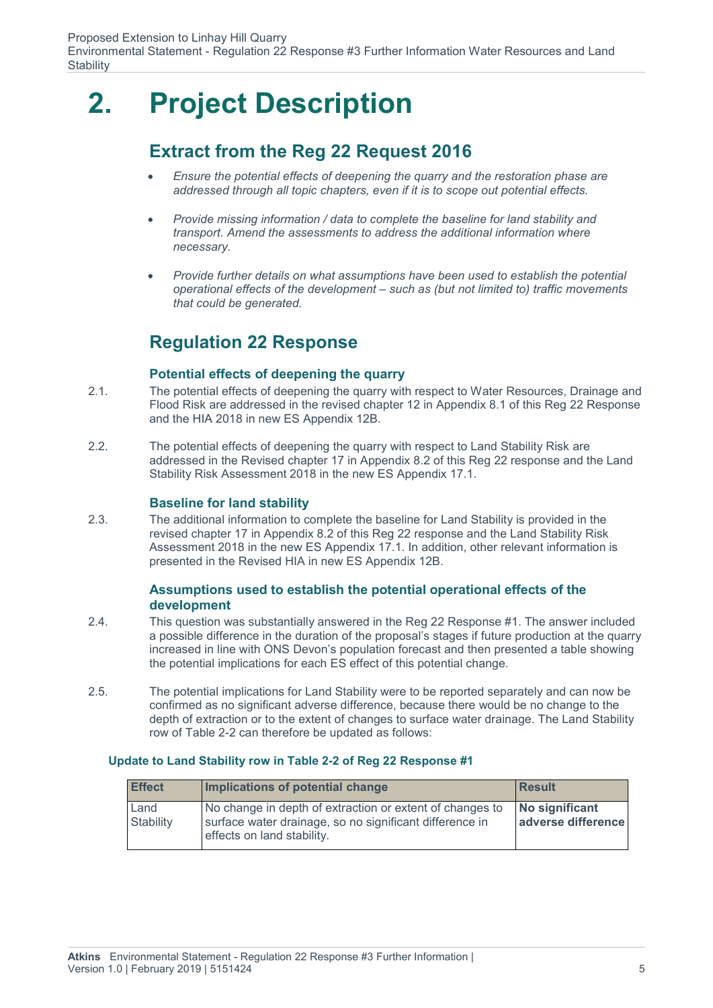## **2. Project Description**

### **Extract from the Reg 22 Request 2016**

- *Ensure the potential effects of deepening the quarry and the restoration phase are addressed through all topic chapters, even if it is to scope out potential effects.*
- *Provide missing information / data to complete the baseline for land stability and transport. Amend the assessments to address the additional information where necessary.*
- **•** Provide further details on what assumptions have been used to establish the potential *operational effects of the development – such as (but not limited to) traffic movements that could be generated.*

### **Regulation 22 Response**

#### **Potential effects of deepening the quarry**

- 2.1. The potential effects of deepening the quarry with respect to Water Resources, Drainage and Flood Risk are addressed in the revised chapter 12 in Appendix 8.1 of this Reg 22 Response and the HIA 2018 in new ES Appendix 12B.
- 2.2. The potential effects of deepening the quarry with respect to Land Stability Risk are addressed in the Revised chapter 17 in Appendix 8.2 of this Reg 22 response and the Land Stability Risk Assessment 2018 in the new ES Appendix 17.1.

#### **Baseline for land stability**

2.3. The additional information to complete the baseline for Land Stability is provided in the revised chapter 17 in Appendix 8.2 of this Reg 22 response and the Land Stability Risk Assessment 2018 in the new ES Appendix 17.1. In addition, other relevant information is presented in the Revised HIA in new ES Appendix 12B.

#### **Assumptions used to establish the potential operational effects of the development**

- 2.4. This question was substantially answered in the Reg 22 Response #1. The answer included a possible difference in the duration of the proposal's stages if future production at the quarry increased in line with ONS Devon's population forecast and then presented a table showing the potential implications for each ES effect of this potential change.
- 2.5. The potential implications for Land Stability were to be reported separately and can now be confirmed as no significant adverse difference, because there would be no change to the depth of extraction or to the extent of changes to surface water drainage. The Land Stability row of Table 2-2 can therefore be updated as follows:

#### **Update to Land Stability row in Table 2-2 of Reg 22 Response #1**

| <b>Effect</b>     | Implications of potential change                                                                                                                  | <b>Result</b>                        |
|-------------------|---------------------------------------------------------------------------------------------------------------------------------------------------|--------------------------------------|
| Land<br>Stability | No change in depth of extraction or extent of changes to<br>surface water drainage, so no significant difference in<br>effects on land stability. | No significant<br>adverse difference |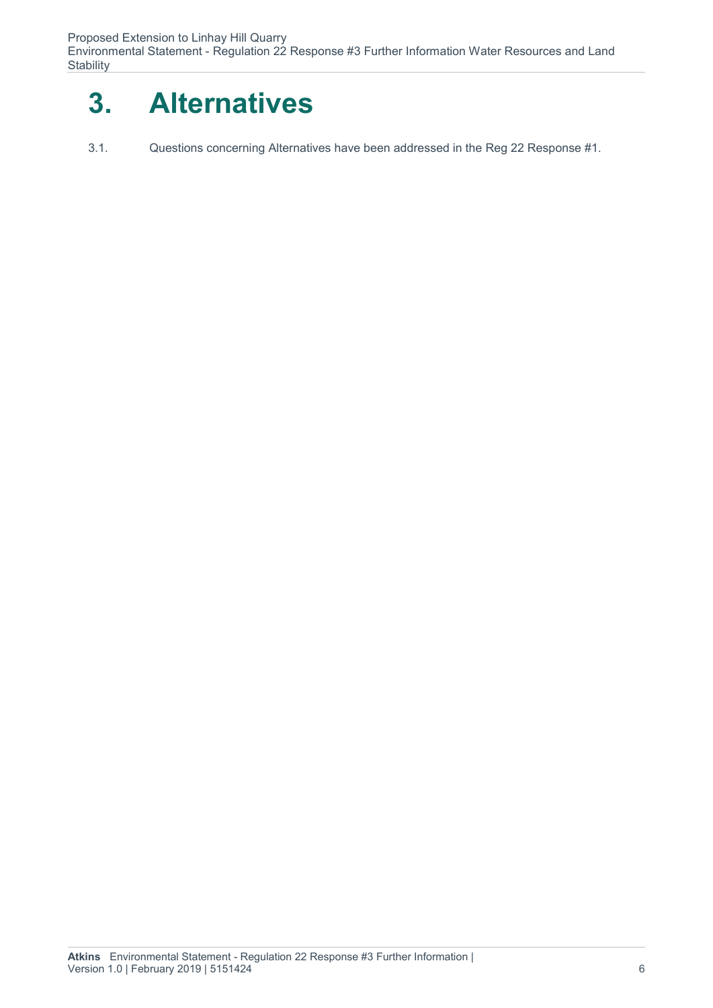Environmental Statement - Regulation 22 Response #3 Further Information Water Resources and Land **Stability** 



3.1. Questions concerning Alternatives have been addressed in the Reg 22 Response #1.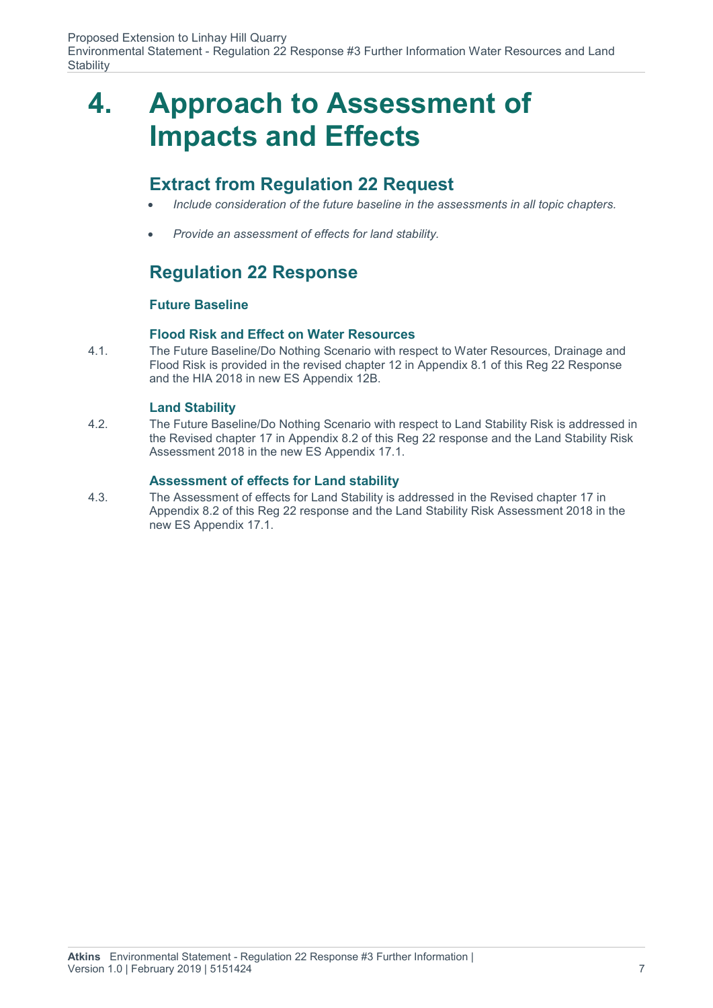Environmental Statement - Regulation 22 Response #3 Further Information Water Resources and Land **Stability** 

### **4. Approach to Assessment of Impacts and Effects**

#### **Extract from Regulation 22 Request**

- *Include consideration of the future baseline in the assessments in all topic chapters.*
- *Provide an assessment of effects for land stability.*

### **Regulation 22 Response**

#### **Future Baseline**

#### **Flood Risk and Effect on Water Resources**

4.1. The Future Baseline/Do Nothing Scenario with respect to Water Resources, Drainage and Flood Risk is provided in the revised chapter 12 in Appendix 8.1 of this Reg 22 Response and the HIA 2018 in new ES Appendix 12B.

#### **Land Stability**

4.2. The Future Baseline/Do Nothing Scenario with respect to Land Stability Risk is addressed in the Revised chapter 17 in Appendix 8.2 of this Reg 22 response and the Land Stability Risk Assessment 2018 in the new ES Appendix 17.1.

#### **Assessment of effects for Land stability**

4.3. The Assessment of effects for Land Stability is addressed in the Revised chapter 17 in Appendix 8.2 of this Reg 22 response and the Land Stability Risk Assessment 2018 in the new ES Appendix 17.1.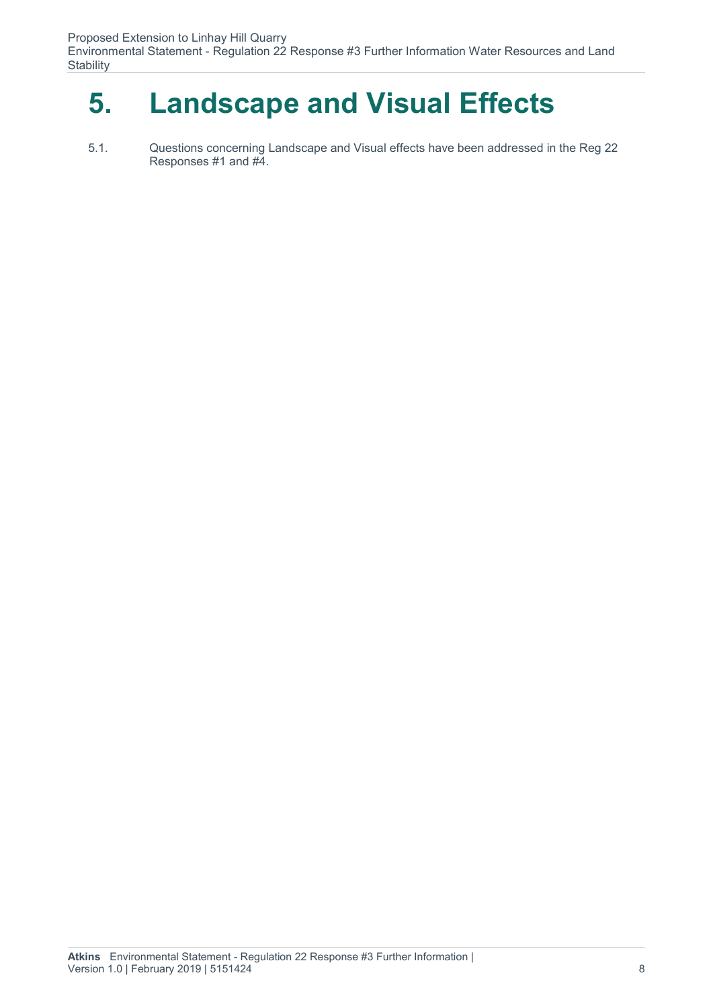Environmental Statement - Regulation 22 Response #3 Further Information Water Resources and Land **Stability** 

## **5. Landscape and Visual Effects**

5.1. Questions concerning Landscape and Visual effects have been addressed in the Reg 22 Responses #1 and #4.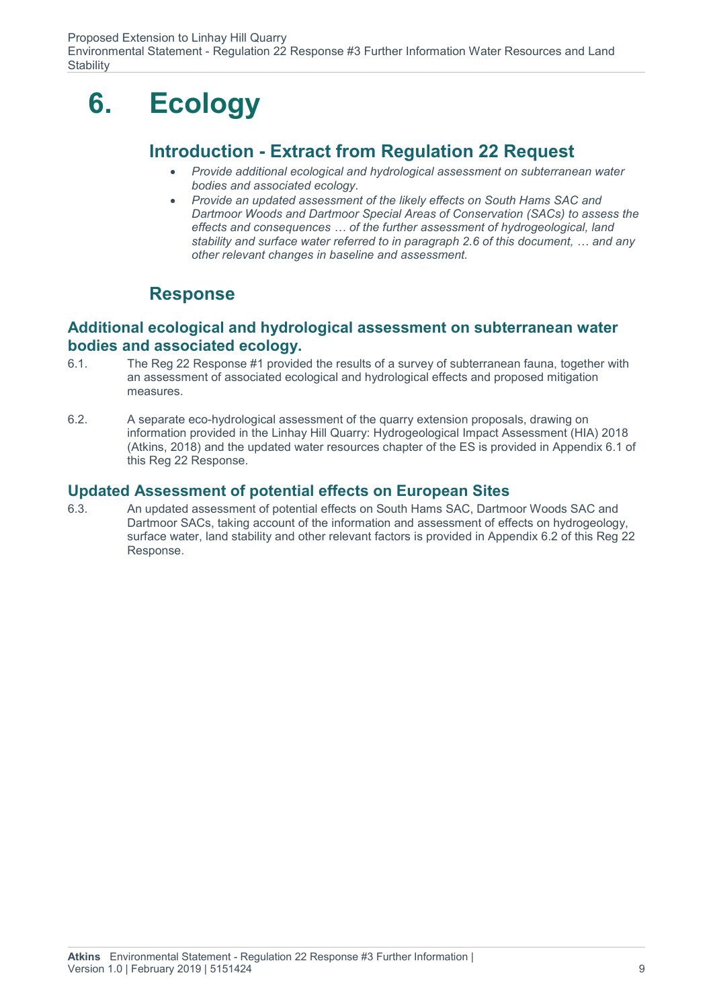## **6. Ecology**

#### **Introduction - Extract from Regulation 22 Request**

- *Provide additional ecological and hydrological assessment on subterranean water bodies and associated ecology.*
- *Provide an updated assessment of the likely effects on South Hams SAC and Dartmoor Woods and Dartmoor Special Areas of Conservation (SACs) to assess the effects and consequences … of the further assessment of hydrogeological, land stability and surface water referred to in paragraph 2.6 of this document, … and any other relevant changes in baseline and assessment.*

### **Response**

#### **Additional ecological and hydrological assessment on subterranean water bodies and associated ecology.**

- 6.1. The Reg 22 Response #1 provided the results of a survey of subterranean fauna, together with an assessment of associated ecological and hydrological effects and proposed mitigation measures.
- 6.2. A separate eco-hydrological assessment of the quarry extension proposals, drawing on information provided in the Linhay Hill Quarry: Hydrogeological Impact Assessment (HIA) 2018 (Atkins, 2018) and the updated water resources chapter of the ES is provided in Appendix 6.1 of this Reg 22 Response.

#### **Updated Assessment of potential effects on European Sites**

6.3. An updated assessment of potential effects on South Hams SAC, Dartmoor Woods SAC and Dartmoor SACs, taking account of the information and assessment of effects on hydrogeology, surface water, land stability and other relevant factors is provided in Appendix 6.2 of this Reg 22 Response.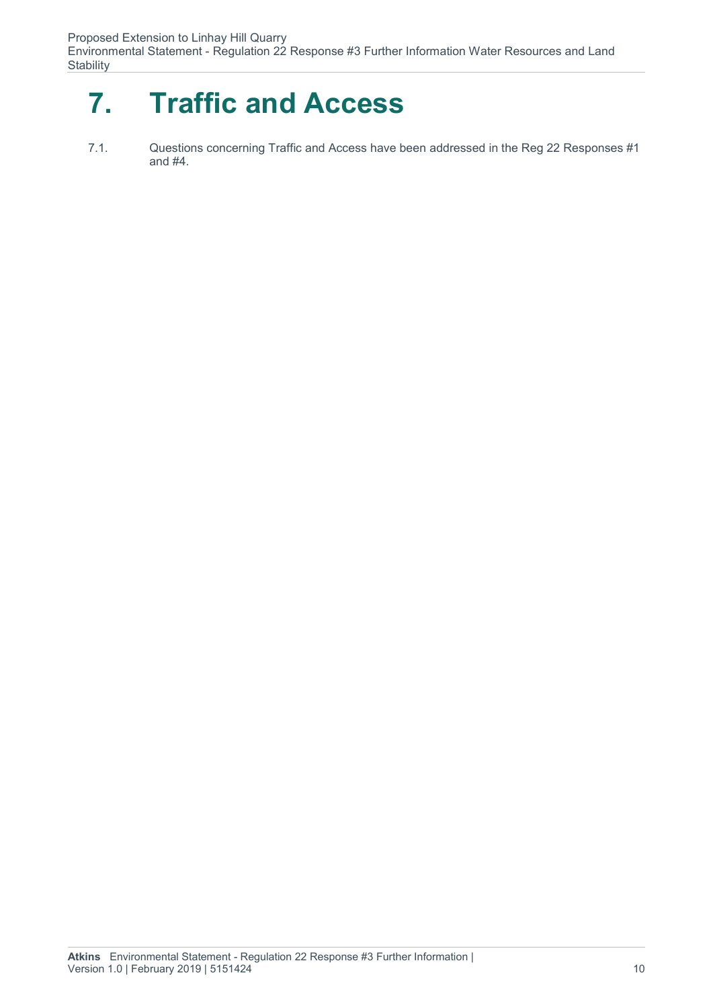Environmental Statement - Regulation 22 Response #3 Further Information Water Resources and Land **Stability** 

## **7. Traffic and Access**

7.1. Questions concerning Traffic and Access have been addressed in the Reg 22 Responses #1 and #4.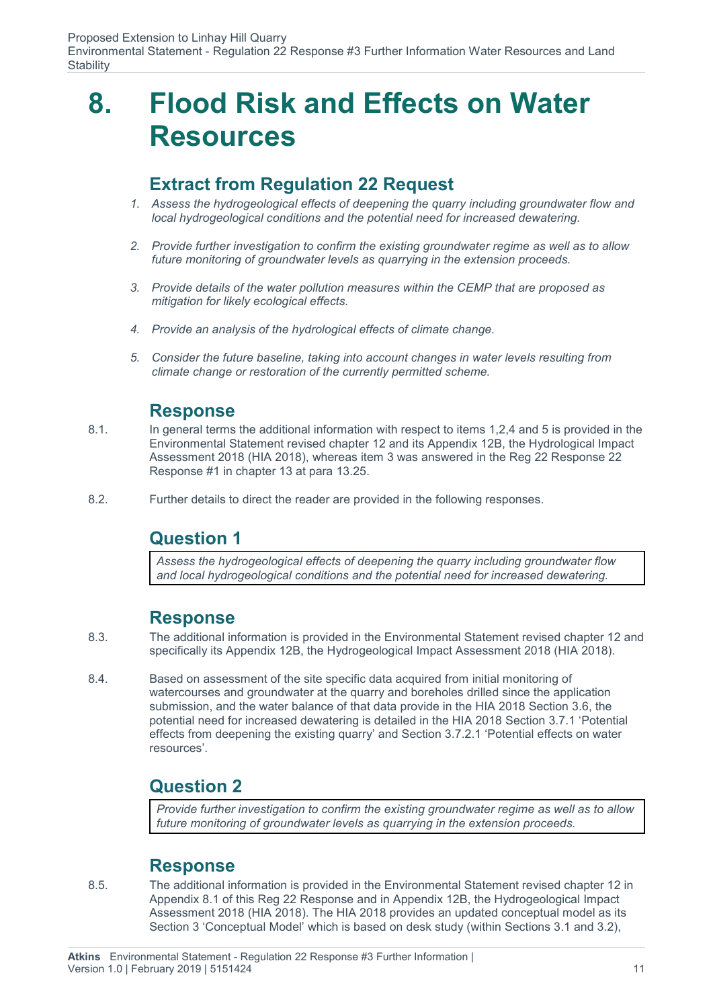### **8. Flood Risk and Effects on Water Resources**

#### **Extract from Regulation 22 Request**

- *1. Assess the hydrogeological effects of deepening the quarry including groundwater flow and local hydrogeological conditions and the potential need for increased dewatering.*
- *2. Provide further investigation to confirm the existing groundwater regime as well as to allow future monitoring of groundwater levels as quarrying in the extension proceeds.*
- *3. Provide details of the water pollution measures within the CEMP that are proposed as mitigation for likely ecological effects.*
- *4. Provide an analysis of the hydrological effects of climate change.*
- *5. Consider the future baseline, taking into account changes in water levels resulting from climate change or restoration of the currently permitted scheme.*

#### **Response**

- 8.1. In general terms the additional information with respect to items 1,2,4 and 5 is provided in the Environmental Statement revised chapter 12 and its Appendix 12B, the Hydrological Impact Assessment 2018 (HIA 2018), whereas item 3 was answered in the Reg 22 Response 22 Response #1 in chapter 13 at para 13.25.
- 8.2. Further details to direct the reader are provided in the following responses.

#### **Question 1**

*Assess the hydrogeological effects of deepening the quarry including groundwater flow and local hydrogeological conditions and the potential need for increased dewatering.*

#### **Response**

- 8.3. The additional information is provided in the Environmental Statement revised chapter 12 and specifically its Appendix 12B, the Hydrogeological Impact Assessment 2018 (HIA 2018).
- 8.4. Based on assessment of the site specific data acquired from initial monitoring of watercourses and groundwater at the quarry and boreholes drilled since the application submission, and the water balance of that data provide in the HIA 2018 Section 3.6, the potential need for increased dewatering is detailed in the HIA 2018 Section 3.7.1 'Potential effects from deepening the existing quarry' and Section 3.7.2.1 'Potential effects on water resources'.

### **Question 2**

*Provide further investigation to confirm the existing groundwater regime as well as to allow future monitoring of groundwater levels as quarrying in the extension proceeds.*

#### **Response**

8.5. The additional information is provided in the Environmental Statement revised chapter 12 in Appendix 8.1 of this Reg 22 Response and in Appendix 12B, the Hydrogeological Impact Assessment 2018 (HIA 2018). The HIA 2018 provides an updated conceptual model as its Section 3 'Conceptual Model' which is based on desk study (within Sections 3.1 and 3.2),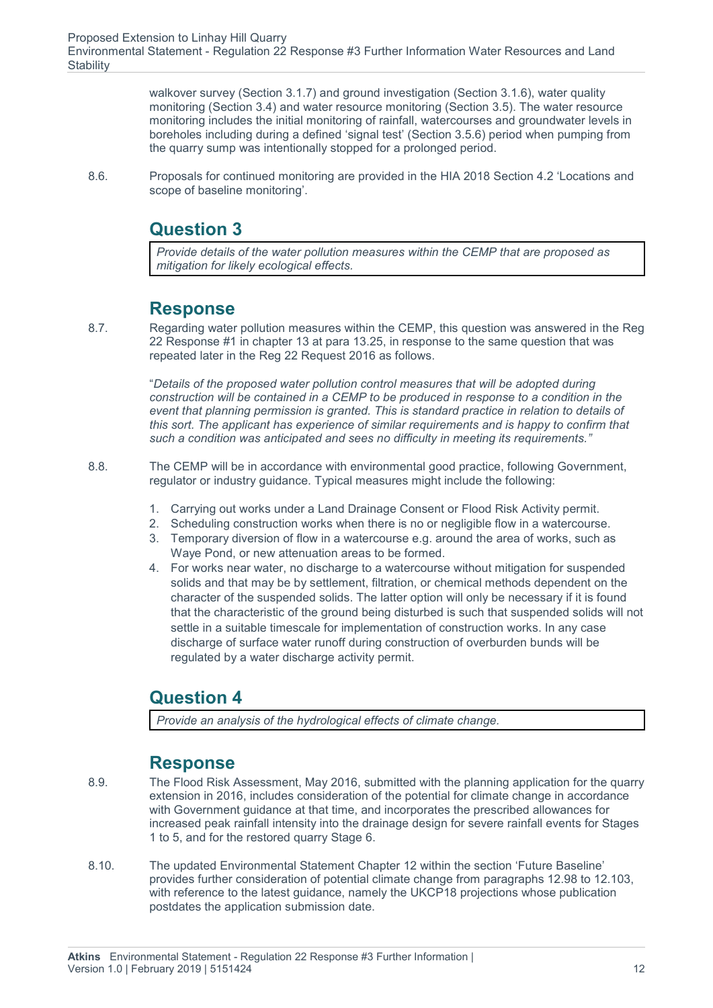walkover survey (Section 3.1.7) and ground investigation (Section 3.1.6), water quality monitoring (Section 3.4) and water resource monitoring (Section 3.5). The water resource monitoring includes the initial monitoring of rainfall, watercourses and groundwater levels in boreholes including during a defined 'signal test' (Section 3.5.6) period when pumping from the quarry sump was intentionally stopped for a prolonged period.

8.6. Proposals for continued monitoring are provided in the HIA 2018 Section 4.2 'Locations and scope of baseline monitoring'.

### **Question 3**

*Provide details of the water pollution measures within the CEMP that are proposed as mitigation for likely ecological effects.*

#### **Response**

8.7. Regarding water pollution measures within the CEMP, this question was answered in the Reg 22 Response #1 in chapter 13 at para 13.25, in response to the same question that was repeated later in the Reg 22 Request 2016 as follows.

> "*Details of the proposed water pollution control measures that will be adopted during construction will be contained in a CEMP to be produced in response to a condition in the event that planning permission is granted. This is standard practice in relation to details of this sort. The applicant has experience of similar requirements and is happy to confirm that such a condition was anticipated and sees no difficulty in meeting its requirements."*

- 8.8. The CEMP will be in accordance with environmental good practice, following Government, regulator or industry guidance. Typical measures might include the following:
	- 1. Carrying out works under a Land Drainage Consent or Flood Risk Activity permit.
	- 2. Scheduling construction works when there is no or negligible flow in a watercourse.
	- 3. Temporary diversion of flow in a watercourse e.g. around the area of works, such as Waye Pond, or new attenuation areas to be formed.
	- 4. For works near water, no discharge to a watercourse without mitigation for suspended solids and that may be by settlement, filtration, or chemical methods dependent on the character of the suspended solids. The latter option will only be necessary if it is found that the characteristic of the ground being disturbed is such that suspended solids will not settle in a suitable timescale for implementation of construction works. In any case discharge of surface water runoff during construction of overburden bunds will be regulated by a water discharge activity permit.

### **Question 4**

*Provide an analysis of the hydrological effects of climate change.*

#### **Response**

- 8.9. The Flood Risk Assessment, May 2016, submitted with the planning application for the quarry extension in 2016, includes consideration of the potential for climate change in accordance with Government guidance at that time, and incorporates the prescribed allowances for increased peak rainfall intensity into the drainage design for severe rainfall events for Stages 1 to 5, and for the restored quarry Stage 6.
- 8.10. The updated Environmental Statement Chapter 12 within the section 'Future Baseline' provides further consideration of potential climate change from paragraphs 12.98 to 12.103, with reference to the latest guidance, namely the UKCP18 projections whose publication postdates the application submission date.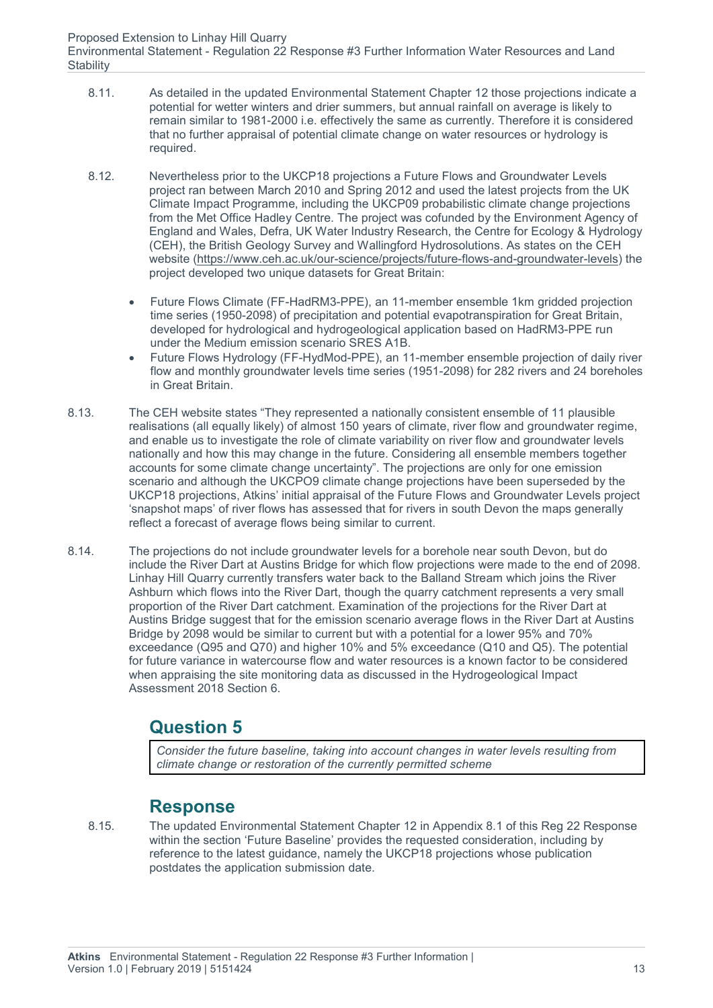- 8.11. As detailed in the updated Environmental Statement Chapter 12 those projections indicate a potential for wetter winters and drier summers, but annual rainfall on average is likely to remain similar to 1981-2000 i.e. effectively the same as currently. Therefore it is considered that no further appraisal of potential climate change on water resources or hydrology is required.
- 8.12. Nevertheless prior to the UKCP18 projections a Future Flows and Groundwater Levels project ran between March 2010 and Spring 2012 and used the latest projects from the UK Climate Impact Programme, including the UKCP09 probabilistic climate change projections from the Met Office Hadley Centre. The project was cofunded by the Environment Agency of England and Wales, Defra, UK Water Industry Research, the Centre for Ecology & Hydrology (CEH), the British Geology Survey and Wallingford Hydrosolutions. As states on the CEH website (https://www.ceh.ac.uk/our-science/projects/future-flows-and-groundwater-levels) the project developed two unique datasets for Great Britain:
	- Future Flows Climate (FF-HadRM3-PPE), an 11-member ensemble 1km gridded projection time series (1950-2098) of precipitation and potential evapotranspiration for Great Britain, developed for hydrological and hydrogeological application based on HadRM3-PPE run under the Medium emission scenario SRES A1B.
	- Future Flows Hydrology (FF-HydMod-PPE), an 11-member ensemble projection of daily river flow and monthly groundwater levels time series (1951-2098) for 282 rivers and 24 boreholes in Great Britain.
- 8.13. The CEH website states "They represented a nationally consistent ensemble of 11 plausible realisations (all equally likely) of almost 150 years of climate, river flow and groundwater regime, and enable us to investigate the role of climate variability on river flow and groundwater levels nationally and how this may change in the future. Considering all ensemble members together accounts for some climate change uncertainty". The projections are only for one emission scenario and although the UKCPO9 climate change projections have been superseded by the UKCP18 projections, Atkins' initial appraisal of the Future Flows and Groundwater Levels project 'snapshot maps' of river flows has assessed that for rivers in south Devon the maps generally reflect a forecast of average flows being similar to current.
- 8.14. The projections do not include groundwater levels for a borehole near south Devon, but do include the River Dart at Austins Bridge for which flow projections were made to the end of 2098. Linhay Hill Quarry currently transfers water back to the Balland Stream which joins the River Ashburn which flows into the River Dart, though the quarry catchment represents a very small proportion of the River Dart catchment. Examination of the projections for the River Dart at Austins Bridge suggest that for the emission scenario average flows in the River Dart at Austins Bridge by 2098 would be similar to current but with a potential for a lower 95% and 70% exceedance (Q95 and Q70) and higher 10% and 5% exceedance (Q10 and Q5). The potential for future variance in watercourse flow and water resources is a known factor to be considered when appraising the site monitoring data as discussed in the Hydrogeological Impact Assessment 2018 Section 6.

### **Question 5**

*Consider the future baseline, taking into account changes in water levels resulting from climate change or restoration of the currently permitted scheme*

#### **Response**

8.15. The updated Environmental Statement Chapter 12 in Appendix 8.1 of this Reg 22 Response within the section 'Future Baseline' provides the requested consideration, including by reference to the latest guidance, namely the UKCP18 projections whose publication postdates the application submission date.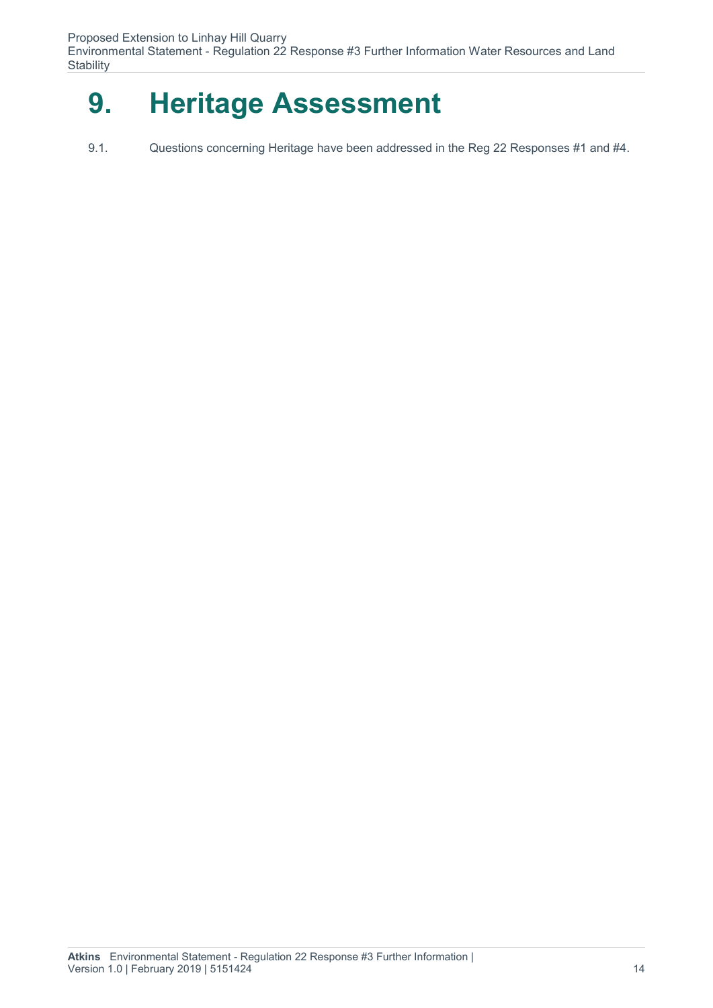Environmental Statement - Regulation 22 Response #3 Further Information Water Resources and Land **Stability** 

## **9. Heritage Assessment**

9.1. Questions concerning Heritage have been addressed in the Reg 22 Responses #1 and #4.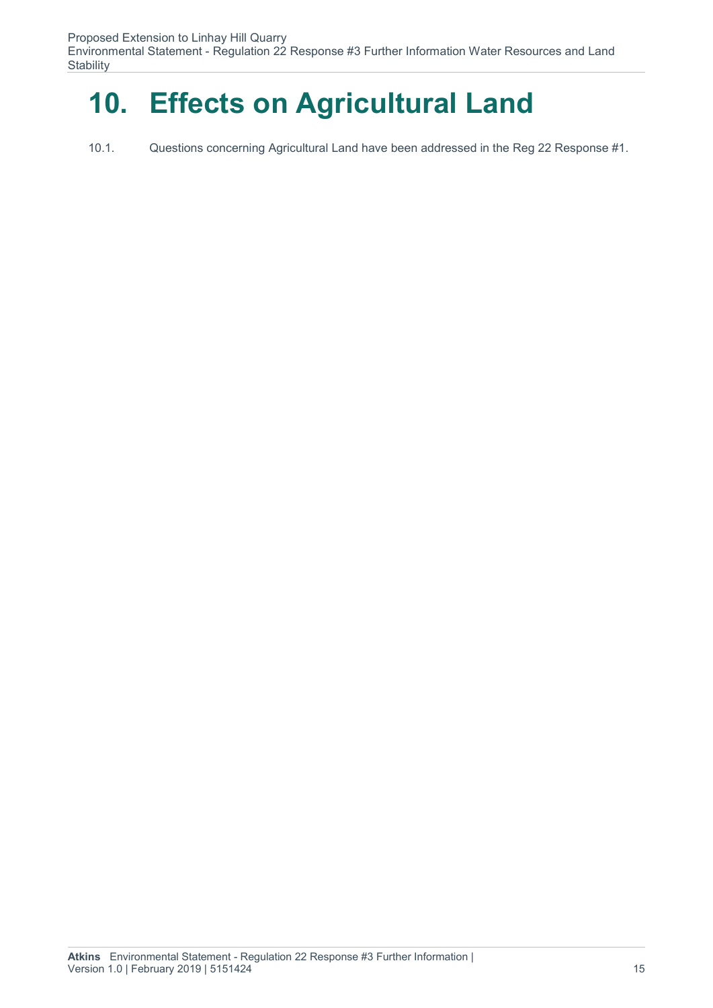## **10. Effects on Agricultural Land**

10.1. Questions concerning Agricultural Land have been addressed in the Reg 22 Response #1.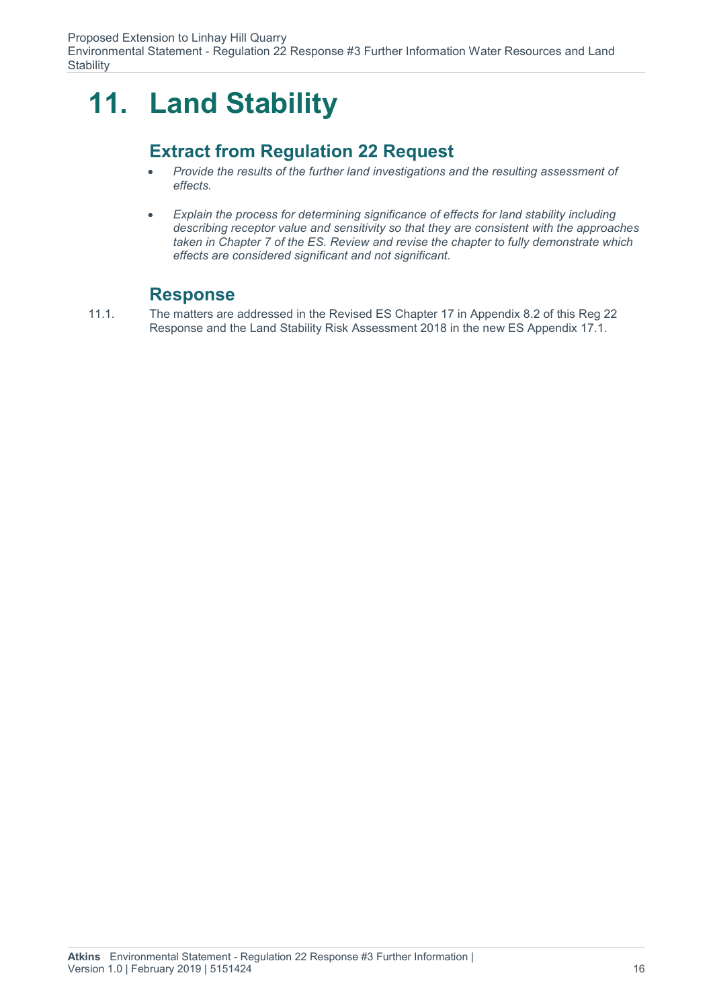## **11. Land Stability**

### **Extract from Regulation 22 Request**

- *Provide the results of the further land investigations and the resulting assessment of effects.*
- *Explain the process for determining significance of effects for land stability including describing receptor value and sensitivity so that they are consistent with the approaches taken in Chapter 7 of the ES. Review and revise the chapter to fully demonstrate which effects are considered significant and not significant.*

#### **Response**

11.1. The matters are addressed in the Revised ES Chapter 17 in Appendix 8.2 of this Reg 22 Response and the Land Stability Risk Assessment 2018 in the new ES Appendix 17.1.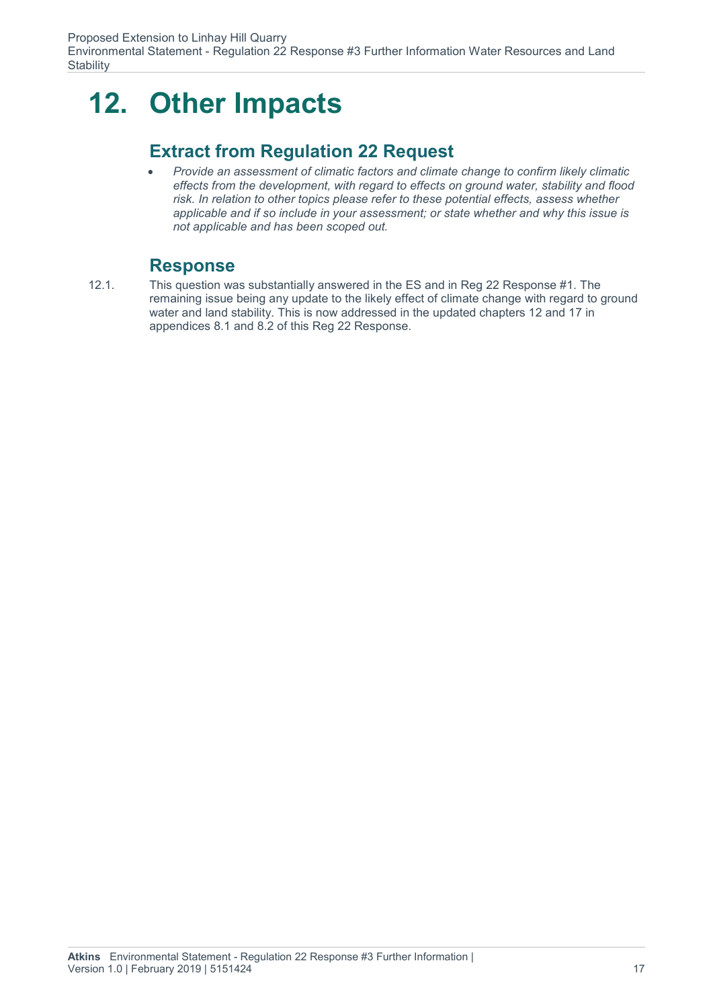## **12. Other Impacts**

### **Extract from Regulation 22 Request**

 *Provide an assessment of climatic factors and climate change to confirm likely climatic effects from the development, with regard to effects on ground water, stability and flood risk. In relation to other topics please refer to these potential effects, assess whether applicable and if so include in your assessment; or state whether and why this issue is not applicable and has been scoped out.*

#### **Response**

12.1. This question was substantially answered in the ES and in Reg 22 Response #1. The remaining issue being any update to the likely effect of climate change with regard to ground water and land stability. This is now addressed in the updated chapters 12 and 17 in appendices 8.1 and 8.2 of this Reg 22 Response.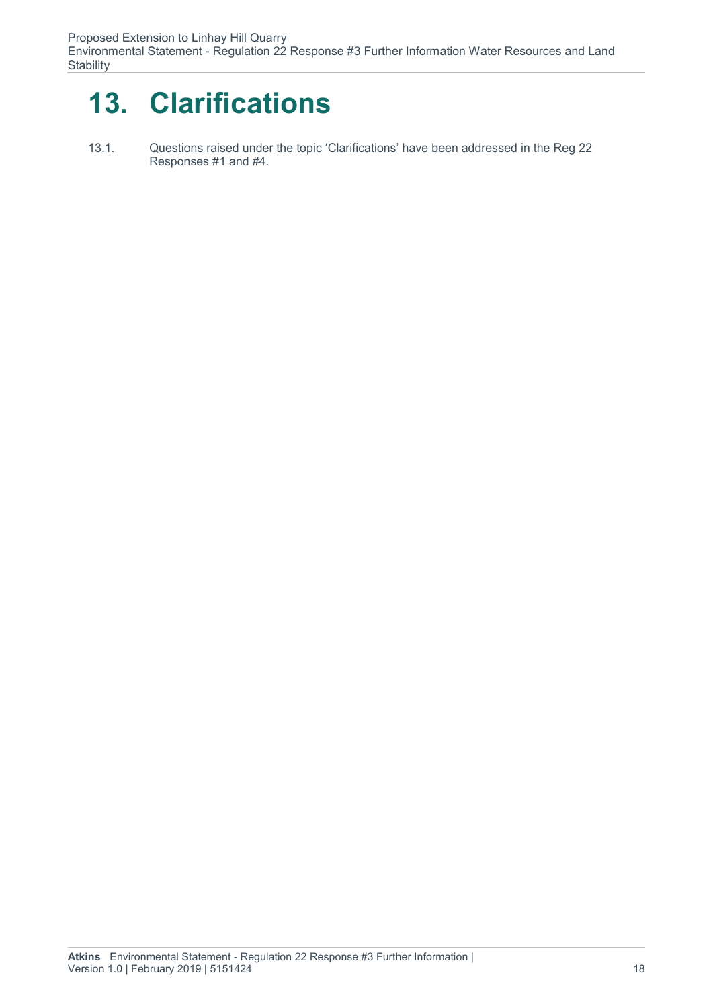## **13. Clarifications**

13.1. Questions raised under the topic 'Clarifications' have been addressed in the Reg 22 Responses #1 and #4.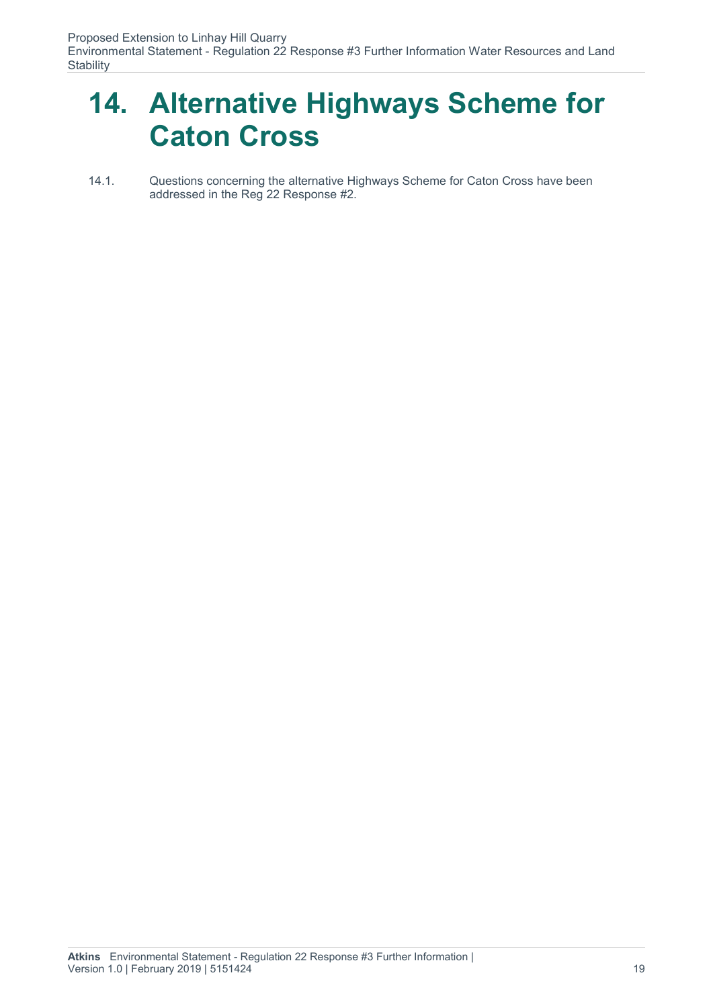### **14. Alternative Highways Scheme for Caton Cross**

14.1. Questions concerning the alternative Highways Scheme for Caton Cross have been addressed in the Reg 22 Response #2.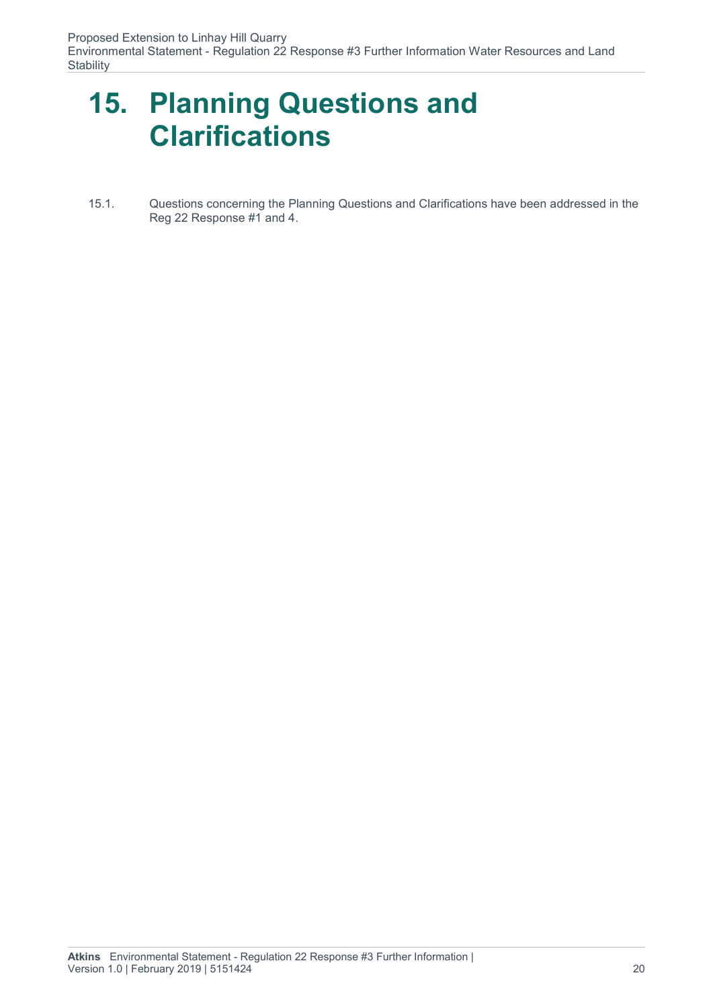### **15. Planning Questions and Clarifications**

15.1. Questions concerning the Planning Questions and Clarifications have been addressed in the Reg 22 Response #1 and 4.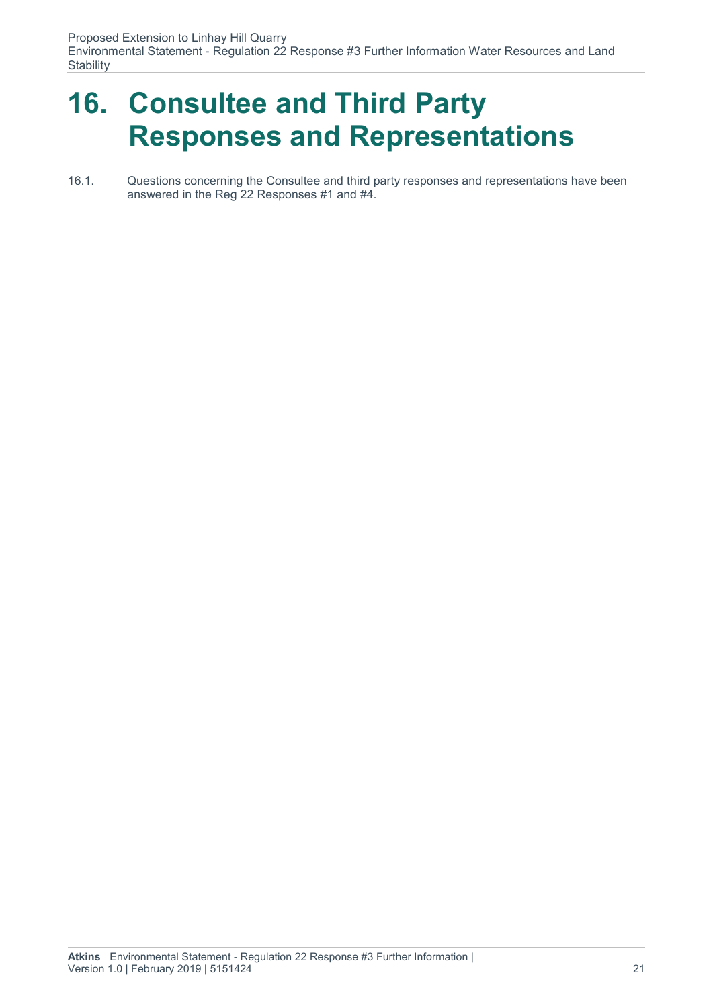Environmental Statement - Regulation 22 Response #3 Further Information Water Resources and Land **Stability** 

### **16. Consultee and Third Party Responses and Representations**

16.1. Questions concerning the Consultee and third party responses and representations have been answered in the Reg 22 Responses #1 and #4.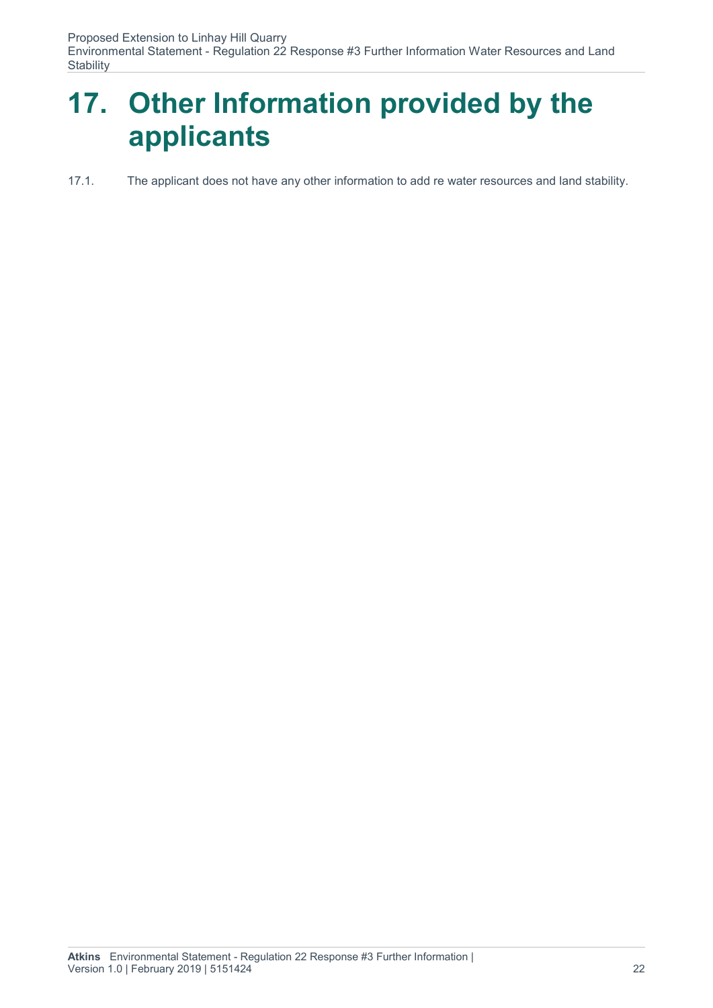Environmental Statement - Regulation 22 Response #3 Further Information Water Resources and Land **Stability** 

## **17. Other Information provided by the applicants**

#### 17.1. The applicant does not have any other information to add re water resources and land stability.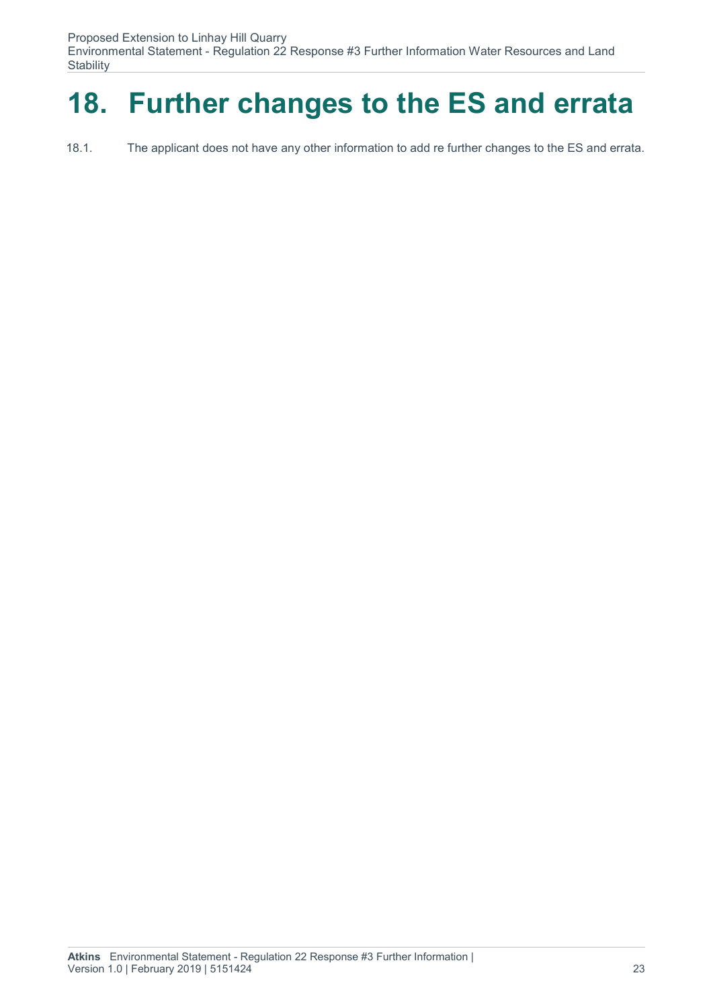Environmental Statement - Regulation 22 Response #3 Further Information Water Resources and Land **Stability** 

## **18. Further changes to the ES and errata**

18.1. The applicant does not have any other information to add re further changes to the ES and errata.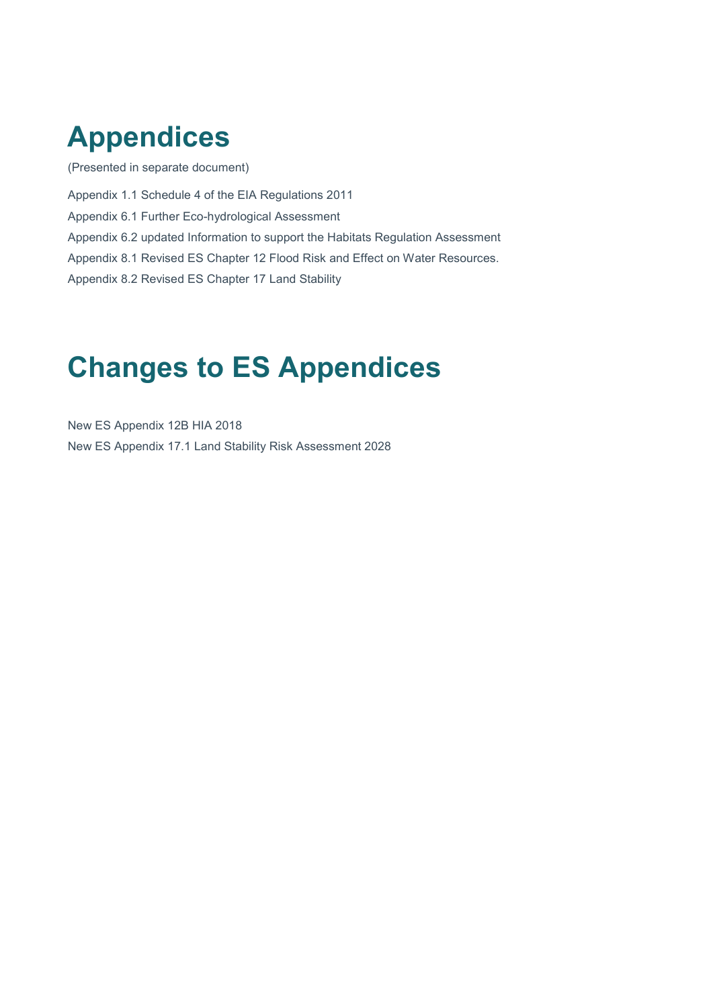### **Appendices**

(Presented in separate document)

Appendix 1.1 Schedule 4 of the EIA Regulations 2011

Appendix 6.1 Further Eco-hydrological Assessment

Appendix 6.2 updated Information to support the Habitats Regulation Assessment

Appendix 8.1 Revised ES Chapter 12 Flood Risk and Effect on Water Resources.

Appendix 8.2 Revised ES Chapter 17 Land Stability

### **Changes to ES Appendices**

New ES Appendix 12B HIA 2018 New ES Appendix 17.1 Land Stability Risk Assessment 2028